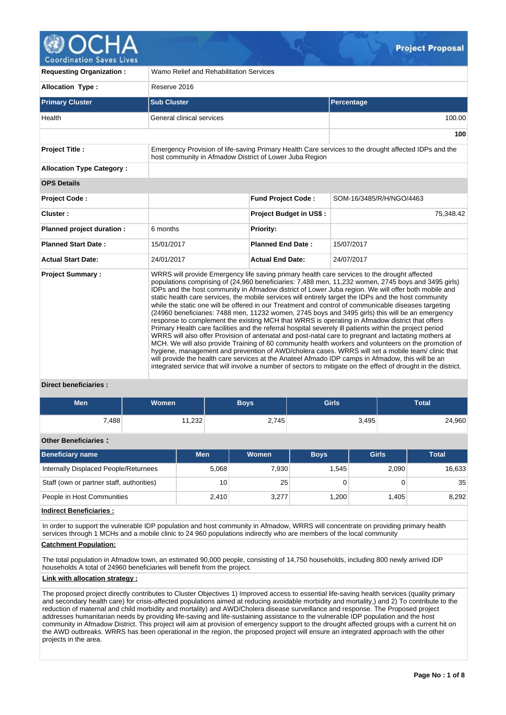

**Coordination Saves Lives** 

| <b>Requesting Organization:</b>  | Wamo Relief and Rehabilitation Services                 |                                |                                                                                                                                                                                                                                                                                                                                                                                                                                                                                                                                                                                                                                                                                                                                                                                                                                                                                                                                                                                                                                                                                                                                                                                                                                                                                                                                                                                          |  |  |  |  |  |  |
|----------------------------------|---------------------------------------------------------|--------------------------------|------------------------------------------------------------------------------------------------------------------------------------------------------------------------------------------------------------------------------------------------------------------------------------------------------------------------------------------------------------------------------------------------------------------------------------------------------------------------------------------------------------------------------------------------------------------------------------------------------------------------------------------------------------------------------------------------------------------------------------------------------------------------------------------------------------------------------------------------------------------------------------------------------------------------------------------------------------------------------------------------------------------------------------------------------------------------------------------------------------------------------------------------------------------------------------------------------------------------------------------------------------------------------------------------------------------------------------------------------------------------------------------|--|--|--|--|--|--|
| <b>Allocation Type:</b>          | Reserve 2016                                            |                                |                                                                                                                                                                                                                                                                                                                                                                                                                                                                                                                                                                                                                                                                                                                                                                                                                                                                                                                                                                                                                                                                                                                                                                                                                                                                                                                                                                                          |  |  |  |  |  |  |
| <b>Primary Cluster</b>           | <b>Sub Cluster</b>                                      |                                | <b>Percentage</b>                                                                                                                                                                                                                                                                                                                                                                                                                                                                                                                                                                                                                                                                                                                                                                                                                                                                                                                                                                                                                                                                                                                                                                                                                                                                                                                                                                        |  |  |  |  |  |  |
| Health                           | General clinical services                               |                                | 100.00                                                                                                                                                                                                                                                                                                                                                                                                                                                                                                                                                                                                                                                                                                                                                                                                                                                                                                                                                                                                                                                                                                                                                                                                                                                                                                                                                                                   |  |  |  |  |  |  |
|                                  |                                                         |                                | 100                                                                                                                                                                                                                                                                                                                                                                                                                                                                                                                                                                                                                                                                                                                                                                                                                                                                                                                                                                                                                                                                                                                                                                                                                                                                                                                                                                                      |  |  |  |  |  |  |
| <b>Project Title:</b>            | host community in Afmadow District of Lower Juba Region |                                | Emergency Provision of life-saving Primary Health Care services to the drought affected IDPs and the                                                                                                                                                                                                                                                                                                                                                                                                                                                                                                                                                                                                                                                                                                                                                                                                                                                                                                                                                                                                                                                                                                                                                                                                                                                                                     |  |  |  |  |  |  |
| <b>Allocation Type Category:</b> |                                                         |                                |                                                                                                                                                                                                                                                                                                                                                                                                                                                                                                                                                                                                                                                                                                                                                                                                                                                                                                                                                                                                                                                                                                                                                                                                                                                                                                                                                                                          |  |  |  |  |  |  |
| <b>OPS Details</b>               |                                                         |                                |                                                                                                                                                                                                                                                                                                                                                                                                                                                                                                                                                                                                                                                                                                                                                                                                                                                                                                                                                                                                                                                                                                                                                                                                                                                                                                                                                                                          |  |  |  |  |  |  |
| <b>Project Code:</b>             |                                                         | <b>Fund Project Code:</b>      | SOM-16/3485/R/H/NGO/4463                                                                                                                                                                                                                                                                                                                                                                                                                                                                                                                                                                                                                                                                                                                                                                                                                                                                                                                                                                                                                                                                                                                                                                                                                                                                                                                                                                 |  |  |  |  |  |  |
| Cluster:                         |                                                         | <b>Project Budget in US\$:</b> | 75,348.42                                                                                                                                                                                                                                                                                                                                                                                                                                                                                                                                                                                                                                                                                                                                                                                                                                                                                                                                                                                                                                                                                                                                                                                                                                                                                                                                                                                |  |  |  |  |  |  |
| Planned project duration :       | 6 months                                                | <b>Priority:</b>               |                                                                                                                                                                                                                                                                                                                                                                                                                                                                                                                                                                                                                                                                                                                                                                                                                                                                                                                                                                                                                                                                                                                                                                                                                                                                                                                                                                                          |  |  |  |  |  |  |
| <b>Planned Start Date:</b>       | 15/01/2017                                              | <b>Planned End Date:</b>       | 15/07/2017                                                                                                                                                                                                                                                                                                                                                                                                                                                                                                                                                                                                                                                                                                                                                                                                                                                                                                                                                                                                                                                                                                                                                                                                                                                                                                                                                                               |  |  |  |  |  |  |
| <b>Actual Start Date:</b>        | 24/01/2017                                              | <b>Actual End Date:</b>        | 24/07/2017                                                                                                                                                                                                                                                                                                                                                                                                                                                                                                                                                                                                                                                                                                                                                                                                                                                                                                                                                                                                                                                                                                                                                                                                                                                                                                                                                                               |  |  |  |  |  |  |
| <b>Project Summary:</b>          |                                                         |                                | WRRS will provide Emergency life saving primary health care services to the drought affected<br>populations comprising of (24,960 beneficiaries: 7,488 men, 11,232 women, 2745 boys and 3495 girls)<br>IDPs and the host community in Afmadow district of Lower Juba region. We will offer both mobile and<br>static health care services, the mobile services will entirely target the IDPs and the host community<br>while the static one will be offered in our Treatment and control of communicable diseases targeting<br>(24960 beneficiaries: 7488 men, 11232 women, 2745 boys and 3495 girls) this will be an emergency<br>response to complement the existing MCH that WRRS is operating in Afmadow district that offers<br>Primary Health care facilities and the referral hospital severely ill patients within the project period<br>WRRS will also offer Provision of antenatal and post-natal care to pregnant and lactating mothers at<br>MCH. We will also provide Training of 60 community health workers and volunteers on the promotion of<br>hygiene, management and prevention of AWD/cholera cases. WRRS will set a mobile team/clinic that<br>will provide the health care services at the Anateel Afmado IDP camps in Afmadow, this will be an<br>integrated service that will involve a number of sectors to mitigate on the effect of drought in the district. |  |  |  |  |  |  |

# **Direct beneficiaries :**

| <b>Men</b> | Women <sup>1</sup> | <b>Boys</b> | <b>Girls</b> | Total  |
|------------|--------------------|-------------|--------------|--------|
| 7,488      | 11,232             | 2,745       | 3,495        | 24,960 |

# **Other Beneficiaries :**

| <b>Beneficiary name</b>                   | <b>Men</b> | <b>Women</b> | <b>Boys</b> | <b>Girls</b> | <b>Total</b> |
|-------------------------------------------|------------|--------------|-------------|--------------|--------------|
| Internally Displaced People/Returnees     | 5.068      | 7,930        | 1.545       | 2,090        | 16.633       |
| Staff (own or partner staff, authorities) | 10         | 25           |             |              | 35           |
| People in Host Communities                | 2,410      | 3,277        | 1.200       | 1.405        | 8,292        |

# **Indirect Beneficiaries :**

In order to support the vulnerable IDP population and host community in Afmadow, WRRS will concentrate on providing primary health services through 1 MCHs and a mobile clinic to 24 960 populations indirectly who are members of the local community

## **Catchment Population:**

The total population in Afmadow town, an estimated 90,000 people, consisting of 14,750 households, including 800 newly arrived IDP households A total of 24960 beneficiaries will benefit from the project.

## **Link with allocation strategy :**

The proposed project directly contributes to Cluster Objectives 1) Improved access to essential life-saving health services (quality primary and secondary health care) for crisis-affected populations aimed at reducing avoidable morbidity and mortality,) and 2) To contribute to the reduction of maternal and child morbidity and mortality) and AWD/Cholera disease surveillance and response. The Proposed project addresses humanitarian needs by providing life-saving and life-sustaining assistance to the vulnerable IDP population and the host community in Afmadow District. This project will aim at provision of emergency support to the drought affected groups with a current hit on the AWD outbreaks. WRRS has been operational in the region, the proposed project will ensure an integrated approach with the other projects in the area.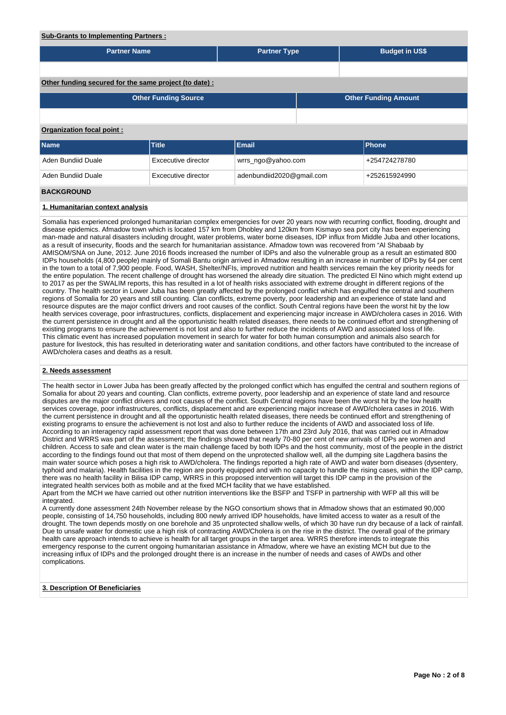## **Sub-Grants to Implementing Partners :**

| <b>Partner Name</b>       |                                                        | <b>Partner Type</b>                        |  | <b>Budget in US\$</b> |                             |  |  |  |  |
|---------------------------|--------------------------------------------------------|--------------------------------------------|--|-----------------------|-----------------------------|--|--|--|--|
|                           |                                                        |                                            |  |                       |                             |  |  |  |  |
|                           | Other funding secured for the same project (to date) : |                                            |  |                       |                             |  |  |  |  |
|                           | <b>Other Funding Source</b>                            |                                            |  |                       | <b>Other Funding Amount</b> |  |  |  |  |
|                           |                                                        |                                            |  |                       |                             |  |  |  |  |
| Organization focal point: |                                                        |                                            |  |                       |                             |  |  |  |  |
| <b>Name</b>               | Title                                                  | Email                                      |  |                       | <b>Phone</b>                |  |  |  |  |
| Aden Bundiid Duale        | Excecutive director                                    | wrrs_ngo@yahoo.com                         |  |                       | +254724278780               |  |  |  |  |
| Aden Bundiid Duale        | Excecutive director                                    | adenbundiid2020@gmail.com<br>+252615924990 |  |                       |                             |  |  |  |  |
| <b>BACKGROUND</b>         |                                                        |                                            |  |                       |                             |  |  |  |  |

# **1. Humanitarian context analysis**

Somalia has experienced prolonged humanitarian complex emergencies for over 20 years now with recurring conflict, flooding, drought and disease epidemics. Afmadow town which is located 157 km from Dhobley and 120km from Kismayo sea port city has been experiencing man-made and natural disasters including drought, water problems, water borne diseases, IDP influx from Middle Juba and other locations, as a result of insecurity, floods and the search for humanitarian assistance. Afmadow town was recovered from "Al Shabaab by AMISOM/SNA on June, 2012. June 2016 floods increased the number of IDPs and also the vulnerable group as a result an estimated 800 IDPs households (4,800 people) mainly of Somali Bantu origin arrived in Afmadow resulting in an increase in number of IDPs by 64 per cent in the town to a total of 7,900 people. Food, WASH, Shelter/NFIs, improved nutrition and health services remain the key priority needs for the entire population. The recent challenge of drought has worsened the already dire situation. The predicted El Nino which might extend up to 2017 as per the SWALIM reports, this has resulted in a lot of health risks associated with extreme drought in different regions of the country. The health sector in Lower Juba has been greatly affected by the prolonged conflict which has engulfed the central and southern regions of Somalia for 20 years and still counting. Clan conflicts, extreme poverty, poor leadership and an experience of state land and resource disputes are the major conflict drivers and root causes of the conflict. South Central regions have been the worst hit by the low health services coverage, poor infrastructures, conflicts, displacement and experiencing major increase in AWD/cholera cases in 2016. With the current persistence in drought and all the opportunistic health related diseases, there needs to be continued effort and strengthening of existing programs to ensure the achievement is not lost and also to further reduce the incidents of AWD and associated loss of life. This climatic event has increased population movement in search for water for both human consumption and animals also search for pasture for livestock, this has resulted in deteriorating water and sanitation conditions, and other factors have contributed to the increase of AWD/cholera cases and deaths as a result.

## **2. Needs assessment**

The health sector in Lower Juba has been greatly affected by the prolonged conflict which has engulfed the central and southern regions of Somalia for about 20 years and counting. Clan conflicts, extreme poverty, poor leadership and an experience of state land and resource disputes are the major conflict drivers and root causes of the conflict. South Central regions have been the worst hit by the low health services coverage, poor infrastructures, conflicts, displacement and are experiencing major increase of AWD/cholera cases in 2016. With the current persistence in drought and all the opportunistic health related diseases, there needs be continued effort and strengthening of existing programs to ensure the achievement is not lost and also to further reduce the incidents of AWD and associated loss of life. According to an interagency rapid assessment report that was done between 17th and 23rd July 2016, that was carried out in Afmadow District and WRRS was part of the assessment; the findings showed that nearly 70-80 per cent of new arrivals of IDPs are women and children. Access to safe and clean water is the main challenge faced by both IDPs and the host community, most of the people in the district according to the findings found out that most of them depend on the unprotected shallow well, all the dumping site Lagdhera basins the main water source which poses a high risk to AWD/cholera. The findings reported a high rate of AWD and water born diseases (dysentery, typhoid and malaria). Health facilities in the region are poorly equipped and with no capacity to handle the rising cases, within the IDP camp, there was no health facility in Bilisa IDP camp, WRRS in this proposed intervention will target this IDP camp in the provision of the integrated health services both as mobile and at the fixed MCH facility that we have established.

Apart from the MCH we have carried out other nutrition interventions like the BSFP and TSFP in partnership with WFP all this will be integrated.

A currently done assessment 24th November release by the NGO consortium shows that in Afmadow shows that an estimated 90,000 people, consisting of 14,750 households, including 800 newly arrived IDP households, have limited access to water as a result of the drought. The town depends mostly on one borehole and 35 unprotected shallow wells, of which 30 have run dry because of a lack of rainfall. Due to unsafe water for domestic use a high risk of contracting AWD/Cholera is on the rise in the district. The overall goal of the primary health care approach intends to achieve is health for all target groups in the target area. WRRS therefore intends to integrate this emergency response to the current ongoing humanitarian assistance in Afmadow, where we have an existing MCH but due to the increasing influx of IDPs and the prolonged drought there is an increase in the number of needs and cases of AWDs and other complications.

## **3. Description Of Beneficiaries**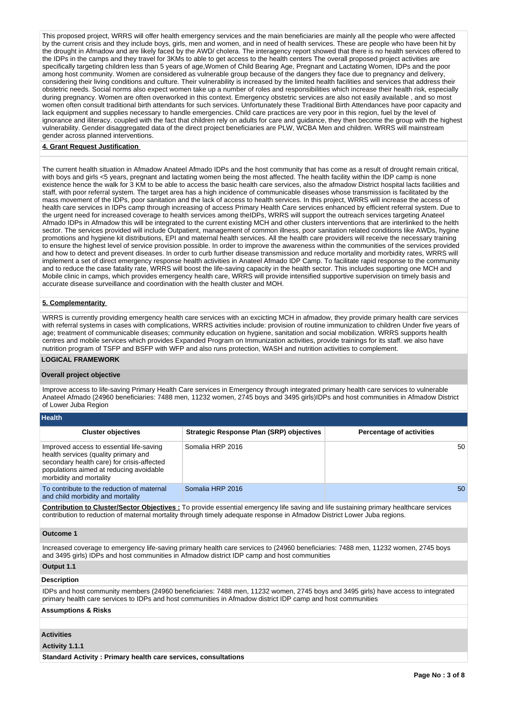This proposed project, WRRS will offer health emergency services and the main beneficiaries are mainly all the people who were affected by the current crisis and they include boys, girls, men and women, and in need of health services. These are people who have been hit by the drought in Afmadow and are likely faced by the AWD/ cholera. The interagency report showed that there is no health services offered to the IDPs in the camps and they travel for 3KMs to able to get access to the health centers The overall proposed project activities are specifically targeting children less than 5 years of age,Women of Child Bearing Age, Pregnant and Lactating Women, IDPs and the poor among host community. Women are considered as vulnerable group because of the dangers they face due to pregnancy and delivery, considering their living conditions and culture. Their vulnerability is increased by the limited health facilities and services that address their obstetric needs. Social norms also expect women take up a number of roles and responsibilities which increase their health risk, especially during pregnancy. Women are often overworked in this context. Emergency obstetric services are also not easily available , and so most women often consult traditional birth attendants for such services. Unfortunately these Traditional Birth Attendances have poor capacity and lack equipment and supplies necessary to handle emergencies. Child care practices are very poor in this region, fuel by the level of ignorance and iliteracy. coupled with the fact that children rely on adults for care and guidance, they then become the group with the highest vulnerability. Gender disaggregated data of the direct project beneficiaries are PLW, WCBA Men and children. WRRS will mainstream gender across planned interventions.

## **4. Grant Request Justification**

The current health situation in Afmadow Anateel Afmado IDPs and the host community that has come as a result of drought remain critical, with boys and girls <5 years, pregnant and lactating women being the most affected. The health facility within the IDP camp is none existence hence the walk for 3 KM to be able to access the basic health care services, also the afmadow District hospital lacts facilities and staff, with poor referral system. The target area has a high incidence of communicable diseases whose transmission is facilitated by the mass movement of the IDPs, poor sanitation and the lack of access to health services. In this project, WRRS will increase the access of health care services in IDPs camp through increasing of access Primary Health Care services enhanced by efficient referral system. Due to the urgent need for increased coverage to health services among theIDPs, WRRS will support the outreach services targeting Anateel Afmado IDPs in Afmadow this will be integrated to the current existing MCH and other clusters interventions that are interlinked to the helth sector. The services provided will include Outpatient, management of common illness, poor sanitation related conditions like AWDs, hygine promotions and hygiene kit distributions, EPI and maternal health services. All the health care providers will receive the necessary training to ensure the highest level of service provision possible. In order to improve the awareness within the communities of the services provided and how to detect and prevent diseases. In order to curb further disease transmission and reduce mortality and morbidity rates, WRRS will implement a set of direct emergency response health activities in Anateel Afmado IDP Camp. To facilitate rapid response to the community and to reduce the case fatality rate, WRRS will boost the life-saving capacity in the health sector. This includes supporting one MCH and Mobile clinic in camps, which provides emergency health care, WRRS will provide intensified supportive supervision on timely basis and accurate disease surveillance and coordination with the health cluster and MOH.

## **5. Complementarity**

WRRS is currently providing emergency health care services with an excicting MCH in afmadow, they provide primary health care services with referral systems in cases with complications, WRRS activities include: provision of routine immunization to children Under five years of age; treatment of communicable diseases; community education on hygiene, sanitation and social mobilization. WRRS supports health centres and mobile services which provides Expanded Program on Immunization activities, provide trainings for its staff. we also have nutrition program of TSFP and BSFP with WFP and also runs protection, WASH and nutrition activities to complement.

## **LOGICAL FRAMEWORK**

## **Overall project objective**

Improve access to life-saving Primary Health Care services in Emergency through integrated primary health care services to vulnerable Anateel Afmado (24960 beneficiaries: 7488 men, 11232 women, 2745 boys and 3495 girls)IDPs and host communities in Afmadow District of Lower Juba Region

| <b>Health</b>                                                                                                                                                                                        |                                                 |                                 |
|------------------------------------------------------------------------------------------------------------------------------------------------------------------------------------------------------|-------------------------------------------------|---------------------------------|
| <b>Cluster objectives</b>                                                                                                                                                                            | <b>Strategic Response Plan (SRP) objectives</b> | <b>Percentage of activities</b> |
| Improved access to essential life-saving<br>health services (quality primary and<br>secondary health care) for crisis-affected<br>populations aimed at reducing avoidable<br>morbidity and mortality | Somalia HRP 2016                                | 50                              |
| To contribute to the reduction of maternal<br>and child morbidity and mortality                                                                                                                      | Somalia HRP 2016                                | 50                              |

**Contribution to Cluster/Sector Objectives :** To provide essential emergency life saving and life sustaining primary healthcare services contribution to reduction of maternal mortality through timely adequate response in Afmadow District Lower Juba regions.

# **Outcome 1**

Increased coverage to emergency life-saving primary health care services to (24960 beneficiaries: 7488 men, 11232 women, 2745 boys and 3495 girls) IDPs and host communities in Afmadow district IDP camp and host communities

# **Output 1.1**

# **Description**

IDPs and host community members (24960 beneficiaries: 7488 men, 11232 women, 2745 boys and 3495 girls) have access to integrated primary health care services to IDPs and host communities in Afmadow district IDP camp and host communities

## **Assumptions & Risks**

## **Activities**

**Activity 1.1.1** 

**Standard Activity : Primary health care services, consultations**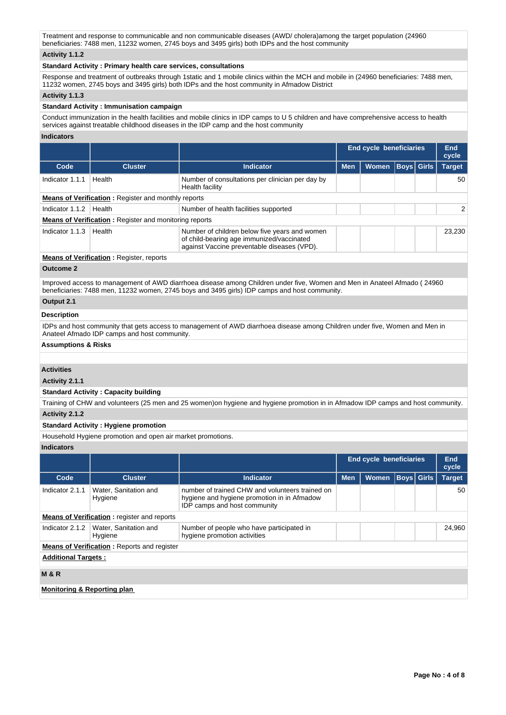Treatment and response to communicable and non communicable diseases (AWD/ cholera)among the target population (24960 beneficiaries: 7488 men, 11232 women, 2745 boys and 3495 girls) both IDPs and the host community

# **Activity 1.1.2**

## **Standard Activity : Primary health care services, consultations**

Response and treatment of outbreaks through 1static and 1 mobile clinics within the MCH and mobile in (24960 beneficiaries: 7488 men, 11232 women, 2745 boys and 3495 girls) both IDPs and the host community in Afmadow District

## **Activity 1.1.3**

## **Standard Activity : Immunisation campaign**

Conduct immunization in the health facilities and mobile clinics in IDP camps to U 5 children and have comprehensive access to health services against treatable childhood diseases in the IDP camp and the host community

# **Indicators**

|                                                            |                                                               |                                                                                                                                           |            | <b>End cycle beneficiaries</b> |  |                   | End<br>cycle  |
|------------------------------------------------------------|---------------------------------------------------------------|-------------------------------------------------------------------------------------------------------------------------------------------|------------|--------------------------------|--|-------------------|---------------|
| Code                                                       | <b>Cluster</b>                                                | Indicator                                                                                                                                 | <b>Men</b> | <b>Women</b>                   |  | <b>Boys Girls</b> | <b>Target</b> |
| Indicator 1.1.1                                            | Health                                                        | Number of consultations per clinician per day by<br>Health facility                                                                       |            |                                |  |                   | 50            |
| <b>Means of Verification:</b> Register and monthly reports |                                                               |                                                                                                                                           |            |                                |  |                   |               |
| Indicator 1.1.2                                            | Health                                                        | Number of health facilities supported                                                                                                     |            |                                |  |                   | $\mathcal{P}$ |
|                                                            | <b>Means of Verification:</b> Register and monitoring reports |                                                                                                                                           |            |                                |  |                   |               |
| Indicator 1.1.3                                            | Health                                                        | Number of children below five years and women<br>of child-bearing age immunized/vaccinated<br>against Vaccine preventable diseases (VPD). |            |                                |  |                   | 23.230        |
|                                                            | <b>Means of Verification: Register, reports</b>               |                                                                                                                                           |            |                                |  |                   |               |

#### **Outcome 2**

Improved access to management of AWD diarrhoea disease among Children under five, Women and Men in Anateel Afmado ( 24960 beneficiaries: 7488 men, 11232 women, 2745 boys and 3495 girls) IDP camps and host community.

# **Output 2.1**

# **Description**

IDPs and host community that gets access to management of AWD diarrhoea disease among Children under five, Women and Men in Anateel Afmado IDP camps and host community.

## **Assumptions & Risks**

# **Activities**

**Activity 2.1.1** 

## **Standard Activity : Capacity building**

Training of CHW and volunteers (25 men and 25 women)on hygiene and hygiene promotion in in Afmadow IDP camps and host community. **Activity 2.1.2** 

# **Standard Activity : Hygiene promotion**

Household Hygiene promotion and open air market promotions.

# **Indicators**

|                                        |                                                    |                                                                                                                                |            | <b>End cycle beneficiaries</b> |  |                   | End<br>cycle  |  |  |  |
|----------------------------------------|----------------------------------------------------|--------------------------------------------------------------------------------------------------------------------------------|------------|--------------------------------|--|-------------------|---------------|--|--|--|
| Code                                   | <b>Cluster</b>                                     | <b>Indicator</b>                                                                                                               | <b>Men</b> | <b>Women</b>                   |  | <b>Boys</b> Girls | <b>Target</b> |  |  |  |
| Indicator 2.1.1                        | Water, Sanitation and<br>Hygiene                   | number of trained CHW and volunteers trained on<br>hygiene and hygiene promotion in in Afmadow<br>IDP camps and host community |            |                                |  |                   | 50            |  |  |  |
|                                        | <b>Means of Verification:</b> register and reports |                                                                                                                                |            |                                |  |                   |               |  |  |  |
| Indicator 2.1.2                        | Water, Sanitation and<br>Hygiene                   | Number of people who have participated in<br>hygiene promotion activities                                                      |            |                                |  |                   | 24,960        |  |  |  |
|                                        | <b>Means of Verification: Reports and register</b> |                                                                                                                                |            |                                |  |                   |               |  |  |  |
|                                        | <b>Additional Targets:</b>                         |                                                                                                                                |            |                                |  |                   |               |  |  |  |
| <b>M&amp;R</b>                         |                                                    |                                                                                                                                |            |                                |  |                   |               |  |  |  |
| <b>Monitoring &amp; Reporting plan</b> |                                                    |                                                                                                                                |            |                                |  |                   |               |  |  |  |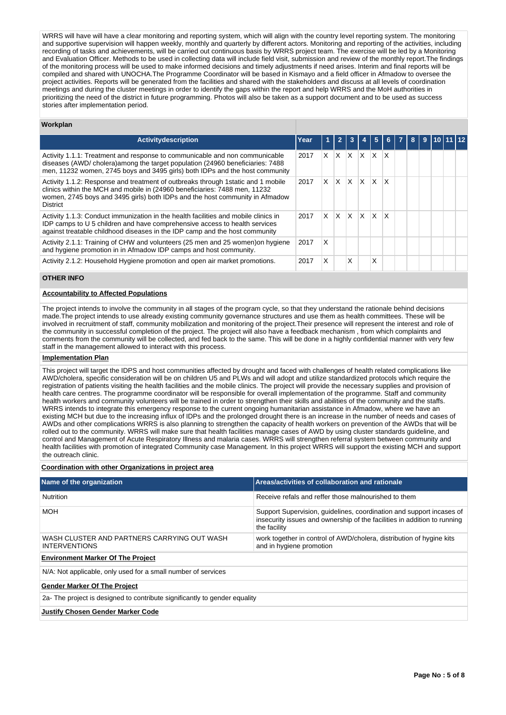WRRS will have will have a clear monitoring and reporting system, which will align with the country level reporting system. The monitoring and supportive supervision will happen weekly, monthly and quarterly by different actors. Monitoring and reporting of the activities, including recording of tasks and achievements, will be carried out continuous basis by WRRS project team. The exercise will be led by a Monitoring and Evaluation Officer. Methods to be used in collecting data will include field visit, submission and review of the monthly report.The findings of the monitoring process will be used to make informed decisions and timely adjustments if need arises. Interim and final reports will be compiled and shared with UNOCHA.The Programme Coordinator will be based in Kismayo and a field officer in Afmadow to oversee the project activities. Reports will be generated from the facilities and shared with the stakeholders and discuss at all levels of coordination meetings and during the cluster meetings in order to identify the gaps within the report and help WRRS and the MoH authorities in prioritizing the need of the district in future programming. Photos will also be taken as a support document and to be used as success stories after implementation period.

# **Workplan**

| <b>Activitydescription</b>                                                                                                                                                                                                                                         | Year |    |     |     |          |              |   | 8 | 9 |  |  |
|--------------------------------------------------------------------------------------------------------------------------------------------------------------------------------------------------------------------------------------------------------------------|------|----|-----|-----|----------|--------------|---|---|---|--|--|
| Activity 1.1.1: Treatment and response to communicable and non communicable<br>diseases (AWD/ cholera)among the target population (24960 beneficiaries: 7488<br>men, 11232 women, 2745 boys and 3495 girls) both IDPs and the host community                       | 2017 | X. | X   | X   | X        | X            | X |   |   |  |  |
| Activity 1.1.2: Response and treatment of outbreaks through 1 static and 1 mobile<br>clinics within the MCH and mobile in (24960 beneficiaries: 7488 men, 11232<br>women, 2745 boys and 3495 girls) both IDPs and the host community in Afmadow<br><b>District</b> | 2017 | X  | X.  | X   | $\times$ | X            | X |   |   |  |  |
| Activity 1.1.3: Conduct immunization in the health facilities and mobile clinics in<br>IDP camps to U 5 children and have comprehensive access to health services<br>against treatable childhood diseases in the IDP camp and the host community                   | 2017 | X. | ΙX. | ΙX. | $\times$ | $\mathsf{x}$ | X |   |   |  |  |
| Activity 2.1.1: Training of CHW and volunteers (25 men and 25 women) on hygiene<br>and hygiene promotion in in Afmadow IDP camps and host community.                                                                                                               | 2017 | X  |     |     |          |              |   |   |   |  |  |
| Activity 2.1.2: Household Hygiene promotion and open air market promotions.                                                                                                                                                                                        | 2017 | X  |     | X   |          | Χ            |   |   |   |  |  |

# **OTHER INFO**

# **Accountability to Affected Populations**

The project intends to involve the community in all stages of the program cycle, so that they understand the rationale behind decisions made.The project intends to use already existing community governance structures and use them as health committees. These will be involved in recruitment of staff, community mobilization and monitoring of the project.Their presence will represent the interest and role of the community in successful completion of the project. The project will also have a feedback mechanism , from which complaints and comments from the community will be collected, and fed back to the same. This will be done in a highly confidential manner with very few staff in the management allowed to interact with this process.

# **Implementation Plan**

This project will target the IDPS and host communities affected by drought and faced with challenges of health related complications like AWD/cholera, specific consideration will be on children U5 and PLWs and will adopt and utilize standardized protocols which require the registration of patients visiting the health facilities and the mobile clinics. The project will provide the necessary supplies and provision of health care centres. The programme coordinator will be responsible for overall implementation of the programme. Staff and community health workers and community volunteers will be trained in order to strengthen their skills and abilities of the community and the staffs. WRRS intends to integrate this emergency response to the current ongoing humanitarian assistance in Afmadow, where we have an existing MCH but due to the increasing influx of IDPs and the prolonged drought there is an increase in the number of needs and cases of AWDs and other complications WRRS is also planning to strengthen the capacity of health workers on prevention of the AWDs that will be rolled out to the community. WRRS will make sure that health facilities manage cases of AWD by using cluster standards guideline, and control and Management of Acute Respiratory Illness and malaria cases. WRRS will strengthen referral system between community and health facilities with promotion of integrated Community case Management. In this project WRRS will support the existing MCH and support the outreach clinic.

## **Coordination with other Organizations in project area**

| Name of the organization                                                   | Areas/activities of collaboration and rationale                                                                                                                  |  |  |  |  |  |  |  |
|----------------------------------------------------------------------------|------------------------------------------------------------------------------------------------------------------------------------------------------------------|--|--|--|--|--|--|--|
| <b>Nutrition</b>                                                           | Receive refals and reffer those malnourished to them                                                                                                             |  |  |  |  |  |  |  |
| <b>MOH</b>                                                                 | Support Supervision, quidelines, coordination and support incases of<br>insecurity issues and ownership of the facilities in addition to running<br>the facility |  |  |  |  |  |  |  |
| WASH CLUSTER AND PARTNERS CARRYING OUT WASH<br><b>INTERVENTIONS</b>        | work together in control of AWD/cholera, distribution of hygine kits<br>and in hygiene promotion                                                                 |  |  |  |  |  |  |  |
| <b>Environment Marker Of The Project</b>                                   |                                                                                                                                                                  |  |  |  |  |  |  |  |
| N/A: Not applicable, only used for a small number of services              |                                                                                                                                                                  |  |  |  |  |  |  |  |
| <b>Gender Marker Of The Project</b>                                        |                                                                                                                                                                  |  |  |  |  |  |  |  |
| 2a- The project is designed to contribute significantly to gender equality |                                                                                                                                                                  |  |  |  |  |  |  |  |
| <b>Justify Chosen Gender Marker Code</b>                                   |                                                                                                                                                                  |  |  |  |  |  |  |  |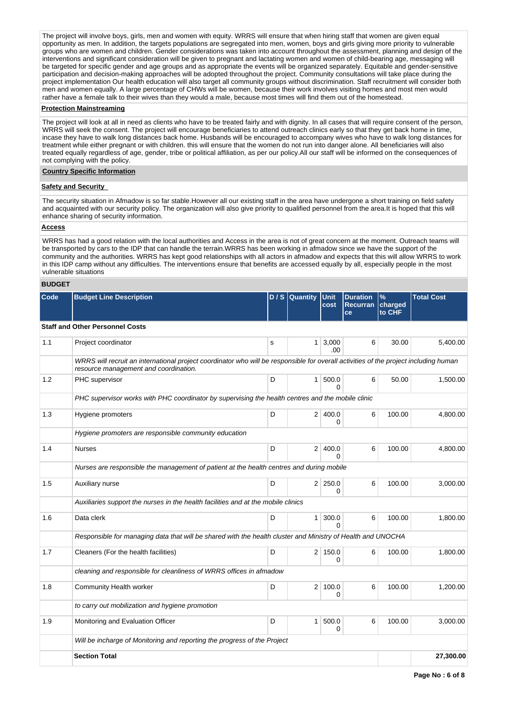The project will involve boys, girls, men and women with equity. WRRS will ensure that when hiring staff that women are given equal opportunity as men. In addition, the targets populations are segregated into men, women, boys and girls giving more priority to vulnerable groups who are women and children. Gender considerations was taken into account throughout the assessment, planning and design of the interventions and significant consideration will be given to pregnant and lactating women and women of child-bearing age, messaging will be targeted for specific gender and age groups and as appropriate the events will be organized separately. Equitable and gender-sensitive participation and decision-making approaches will be adopted throughout the project. Community consultations will take place during the project implementation Our health education will also target all community groups without discrimination. Staff recruitment will consider both men and women equally. A large percentage of CHWs will be women, because their work involves visiting homes and most men would rather have a female talk to their wives than they would a male, because most times will find them out of the homestead.

## **Protection Mainstreaming**

The project will look at all in need as clients who have to be treated fairly and with dignity. In all cases that will require consent of the person, WRRS will seek the consent. The project will encourage beneficiaries to attend outreach clinics early so that they get back home in time, incase they have to walk long distances back home. Husbands will be encouraged to accompany wives who have to walk long distances for treatment while either pregnant or with children. this will ensure that the women do not run into danger alone. All beneficiaries will also treated equally regardless of age, gender, tribe or political affiliation, as per our policy.All our staff will be informed on the consequences of not complying with the policy.

# **Country Specific Information**

## **Safety and Security**

The security situation in Afmadow is so far stable.However all our existing staff in the area have undergone a short training on field safety and acquainted with our security policy. The organization will also give priority to qualified personnel from the area.It is hoped that this will enhance sharing of security information.

# **Access**

WRRS has had a good relation with the local authorities and Access in the area is not of great concern at the moment. Outreach teams will be transported by cars to the IDP that can handle the terrain.WRRS has been working in afmadow since we have the support of the community and the authorities. WRRS has kept good relationships with all actors in afmadow and expects that this will allow WRRS to work in this IDP camp without any difficulties. The interventions ensure that benefits are accessed equally by all, especially people in the most vulnerable situations

# **BUDGET**

| Code | <b>Budget Line Description</b>                                                                                                                                                |   | $D/S$ Quantity | <b>Unit</b><br>cost   | <b>Duration</b><br><b>Recurran</b><br>ce | $\%$<br>charged<br>to CHF | <b>Total Cost</b> |
|------|-------------------------------------------------------------------------------------------------------------------------------------------------------------------------------|---|----------------|-----------------------|------------------------------------------|---------------------------|-------------------|
|      | <b>Staff and Other Personnel Costs</b>                                                                                                                                        |   |                |                       |                                          |                           |                   |
| 1.1  | Project coordinator                                                                                                                                                           | s | 1 <sup>1</sup> | 3,000<br>.00          | 6                                        | 30.00                     | 5,400.00          |
|      | WRRS will recruit an international project coordinator who will be responsible for overall activities of the project including human<br>resource management and coordination. |   |                |                       |                                          |                           |                   |
| 1.2  | PHC supervisor                                                                                                                                                                | D |                | 1 500.0<br>$\Omega$   | 6                                        | 50.00                     | 1,500.00          |
|      | PHC supervisor works with PHC coordinator by supervising the health centres and the mobile clinic                                                                             |   |                |                       |                                          |                           |                   |
| 1.3  | Hygiene promoters                                                                                                                                                             | D |                | 2 400.0<br>0          | 6                                        | 100.00                    | 4,800.00          |
|      | Hygiene promoters are responsible community education                                                                                                                         |   |                |                       |                                          |                           |                   |
| 1.4  | <b>Nurses</b>                                                                                                                                                                 | D | 2 <sup>1</sup> | 400.0<br><sup>0</sup> | 6                                        | 100.00                    | 4.800.00          |
|      | Nurses are responsible the management of patient at the health centres and during mobile                                                                                      |   |                |                       |                                          |                           |                   |
| 1.5  | Auxiliary nurse                                                                                                                                                               | D |                | $2 \mid 250.0$<br>0   | 6                                        | 100.00                    | 3,000.00          |
|      | Auxiliaries support the nurses in the health facilities and at the mobile clinics                                                                                             |   |                |                       |                                          |                           |                   |
| 1.6  | Data clerk                                                                                                                                                                    | D |                | 1   300.0<br>0        | 6                                        | 100.00                    | 1,800.00          |
|      | Responsible for managing data that will be shared with the health cluster and Ministry of Health and UNOCHA                                                                   |   |                |                       |                                          |                           |                   |
| 1.7  | Cleaners (For the health facilities)                                                                                                                                          | D |                | 2 150.0<br>0          | 6                                        | 100.00                    | 1,800.00          |
|      | cleaning and responsible for cleanliness of WRRS offices in afmadow                                                                                                           |   |                |                       |                                          |                           |                   |
| 1.8  | Community Health worker                                                                                                                                                       | D | 2 <sup>1</sup> | 100.0<br>0            | 6                                        | 100.00                    | 1,200.00          |
|      | to carry out mobilization and hygiene promotion                                                                                                                               |   |                |                       |                                          |                           |                   |
| 1.9  | Monitoring and Evaluation Officer                                                                                                                                             | D | 1 <sup>1</sup> | 500.0<br>0            | 6                                        | 100.00                    | 3,000.00          |
|      | Will be incharge of Monitoring and reporting the progress of the Project                                                                                                      |   |                |                       |                                          |                           |                   |
|      | <b>Section Total</b>                                                                                                                                                          |   |                |                       |                                          |                           | 27,300.00         |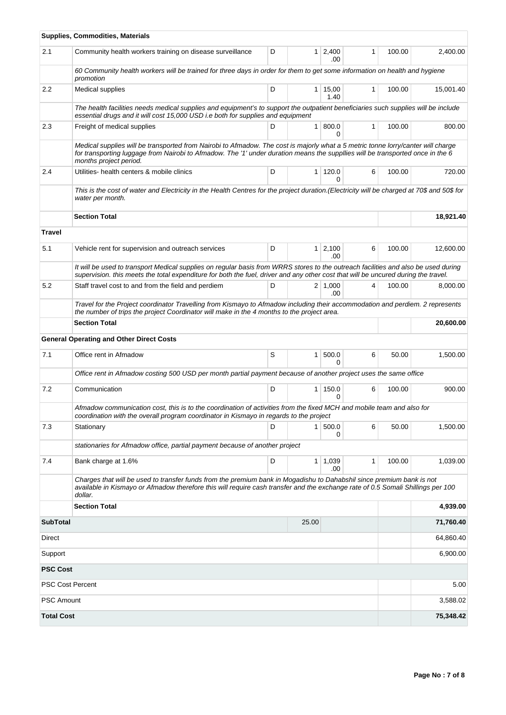|                         | <b>Supplies, Commodities, Materials</b>                                                                                                                                                                                                                                                      |   |                |                        |              |        |           |
|-------------------------|----------------------------------------------------------------------------------------------------------------------------------------------------------------------------------------------------------------------------------------------------------------------------------------------|---|----------------|------------------------|--------------|--------|-----------|
| 2.1                     | Community health workers training on disease surveillance                                                                                                                                                                                                                                    | D |                | $1 \quad 2,400$<br>.00 | 1            | 100.00 | 2,400.00  |
|                         | 60 Community health workers will be trained for three days in order for them to get some information on health and hygiene<br>promotion                                                                                                                                                      |   |                |                        |              |        |           |
| 2.2                     | Medical supplies                                                                                                                                                                                                                                                                             | D | 1 <sup>1</sup> | 15,00<br>1.40          | 1            | 100.00 | 15,001.40 |
|                         | The health facilities needs medical supplies and equipment's to support the outpatient beneficiaries such supplies will be include<br>essential drugs and it will cost 15,000 USD i.e both for supplies and equipment                                                                        |   |                |                        |              |        |           |
| 2.3                     | Freight of medical supplies                                                                                                                                                                                                                                                                  | D | 1 <sup>1</sup> | 800.0<br>0             | $\mathbf{1}$ | 100.00 | 800.00    |
|                         | Medical supplies will be transported from Nairobi to Afmadow. The cost is majorly what a 5 metric tonne lorry/canter will charge<br>for transporting luggage from Nairobi to Afmadow. The '1' under duration means the suppllies will be transported once in the 6<br>months project period. |   |                |                        |              |        |           |
| 2.4                     | Utilities- health centers & mobile clinics                                                                                                                                                                                                                                                   | D |                | 1   120.0<br>O         | 6            | 100.00 | 720.00    |
|                         | This is the cost of water and Electricity in the Health Centres for the project duration.(Electricity will be charged at 70\$ and 50\$ for<br>water per month.                                                                                                                               |   |                |                        |              |        |           |
|                         | <b>Section Total</b>                                                                                                                                                                                                                                                                         |   |                |                        |              |        | 18,921.40 |
| <b>Travel</b>           |                                                                                                                                                                                                                                                                                              |   |                |                        |              |        |           |
| 5.1                     | Vehicle rent for supervision and outreach services                                                                                                                                                                                                                                           | D | 1 <sup>1</sup> | 2,100<br>.00           | 6            | 100.00 | 12,600.00 |
|                         | It will be used to transport Medical supplies on regular basis from WRRS stores to the outreach facilities and also be used during<br>supervision. this meets the total expenditure for both the fuel, driver and any other cost that will be uncured during the travel.                     |   |                |                        |              |        |           |
| 5.2                     | Staff travel cost to and from the field and perdiem                                                                                                                                                                                                                                          | D |                | $2 \mid 1,000$<br>.00. | 4            | 100.00 | 8,000.00  |
|                         | Travel for the Project coordinator Travelling from Kismayo to Afmadow including their accommodation and perdiem. 2 represents<br>the number of trips the project Coordinator will make in the 4 months to the project area.                                                                  |   |                |                        |              |        |           |
|                         | <b>Section Total</b>                                                                                                                                                                                                                                                                         |   |                |                        |              |        | 20,600.00 |
|                         | <b>General Operating and Other Direct Costs</b>                                                                                                                                                                                                                                              |   |                |                        |              |        |           |
| 7.1                     | Office rent in Afmadow                                                                                                                                                                                                                                                                       | S | 1 <sup>1</sup> | 500.0<br>$\Omega$      | 6            | 50.00  | 1,500.00  |
|                         | Office rent in Afmadow costing 500 USD per month partial payment because of another project uses the same office                                                                                                                                                                             |   |                |                        |              |        |           |
| 7.2                     | Communication                                                                                                                                                                                                                                                                                | D | 1 <sup>1</sup> | 150.0<br>$\Omega$      | 6            | 100.00 | 900.00    |
|                         | Afmadow communication cost, this is to the coordination of activities from the fixed MCH and mobile team and also for<br>coordination with the overall program coordinator in Kismayo in regards to the project                                                                              |   |                |                        |              |        |           |
| 7.3                     | Stationary                                                                                                                                                                                                                                                                                   | D | 1 <sup>1</sup> | 500.0<br>0             | 6            | 50.00  | 1,500.00  |
|                         | stationaries for Afmadow office, partial payment because of another project                                                                                                                                                                                                                  |   |                |                        |              |        |           |
| 7.4                     | Bank charge at 1.6%                                                                                                                                                                                                                                                                          | D | 1 <sup>1</sup> | 1,039<br>.00           | $\mathbf{1}$ | 100.00 | 1,039.00  |
|                         | Charges that will be used to transfer funds from the premium bank in Mogadishu to Dahabshil since premium bank is not<br>available in Kismayo or Afmadow therefore this will require cash transfer and the exchange rate of 0.5 Somali Shillings per 100<br>dollar.                          |   |                |                        |              |        |           |
|                         | <b>Section Total</b>                                                                                                                                                                                                                                                                         |   |                |                        |              |        | 4,939.00  |
| <b>SubTotal</b>         |                                                                                                                                                                                                                                                                                              |   | 25.00          |                        |              |        | 71,760.40 |
| Direct                  |                                                                                                                                                                                                                                                                                              |   |                |                        |              |        | 64,860.40 |
| Support                 |                                                                                                                                                                                                                                                                                              |   |                |                        |              |        | 6,900.00  |
| <b>PSC Cost</b>         |                                                                                                                                                                                                                                                                                              |   |                |                        |              |        |           |
| <b>PSC Cost Percent</b> |                                                                                                                                                                                                                                                                                              |   |                |                        |              |        | 5.00      |
| <b>PSC Amount</b>       |                                                                                                                                                                                                                                                                                              |   |                |                        |              |        | 3,588.02  |
| <b>Total Cost</b>       |                                                                                                                                                                                                                                                                                              |   |                |                        |              |        | 75,348.42 |